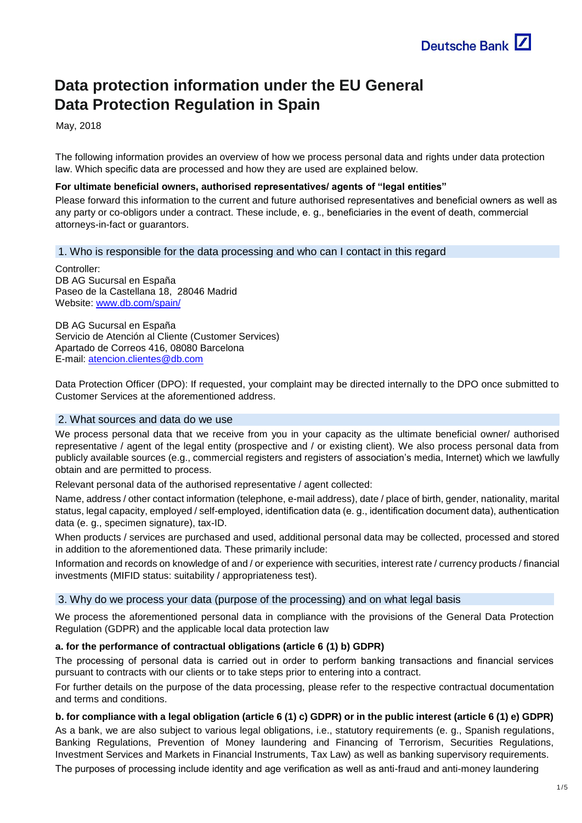# **Data protection information under the EU General Data Protection Regulation in Spain**

May, 2018

The following information provides an overview of how we process personal data and rights under data protection law. Which specific data are processed and how they are used are explained below.

## **For ultimate beneficial owners, authorised representatives/ agents of "legal entities"**

Please forward this information to the current and future authorised representatives and beneficial owners as well as any party or co-obligors under a contract. These include, e. g., beneficiaries in the event of death, commercial attorneys-in-fact or guarantors.

# 1. Who is responsible for the data processing and who can I contact in this regard

Controller: DB AG Sucursal en España Paseo de la Castellana 18, 28046 Madrid Website: [www.db.com/spain/](http://www.db.com/spain/)

DB AG Sucursal en España Servicio de Atención al Cliente (Customer Services) Apartado de Correos 416, 08080 Barcelona E-mail: [atencion.clientes@db.com](mailto:atencion.clientes@db.com)

Data Protection Officer (DPO): If requested, your complaint may be directed internally to the DPO once submitted to Customer Services at the aforementioned address.

# 2. What sources and data do we use

We process personal data that we receive from you in your capacity as the ultimate beneficial owner/ authorised representative / agent of the legal entity (prospective and / or existing client). We also process personal data from publicly available sources (e.g., commercial registers and registers of association's media, Internet) which we lawfully obtain and are permitted to process.

Relevant personal data of the authorised representative / agent collected:

Name, address / other contact information (telephone, e-mail address), date / place of birth, gender, nationality, marital status, legal capacity, employed / self-employed, identification data (e. g., identification document data), authentication data (e. g., specimen signature), tax-ID.

When products / services are purchased and used, additional personal data may be collected, processed and stored in addition to the aforementioned data. These primarily include:

Information and records on knowledge of and / or experience with securities, interest rate / currency products / financial investments (MIFID status: suitability / appropriateness test).

# 3. Why do we process your data (purpose of the processing) and on what legal basis

We process the aforementioned personal data in compliance with the provisions of the General Data Protection Regulation (GDPR) and the applicable local data protection law

# **a. for the performance of contractual obligations (article 6 (1) b) GDPR)**

The processing of personal data is carried out in order to perform banking transactions and financial services pursuant to contracts with our clients or to take steps prior to entering into a contract.

For further details on the purpose of the data processing, please refer to the respective contractual documentation and terms and conditions.

# **b. for compliance with a legal obligation (article 6 (1) c) GDPR) or in the public interest (article 6 (1) e) GDPR)**

As a bank, we are also subject to various legal obligations, i.e., statutory requirements (e. g., Spanish regulations, Banking Regulations, Prevention of Money laundering and Financing of Terrorism, Securities Regulations, Investment Services and Markets in Financial Instruments, Tax Law) as well as banking supervisory requirements.

The purposes of processing include identity and age verification as well as anti-fraud and anti-money laundering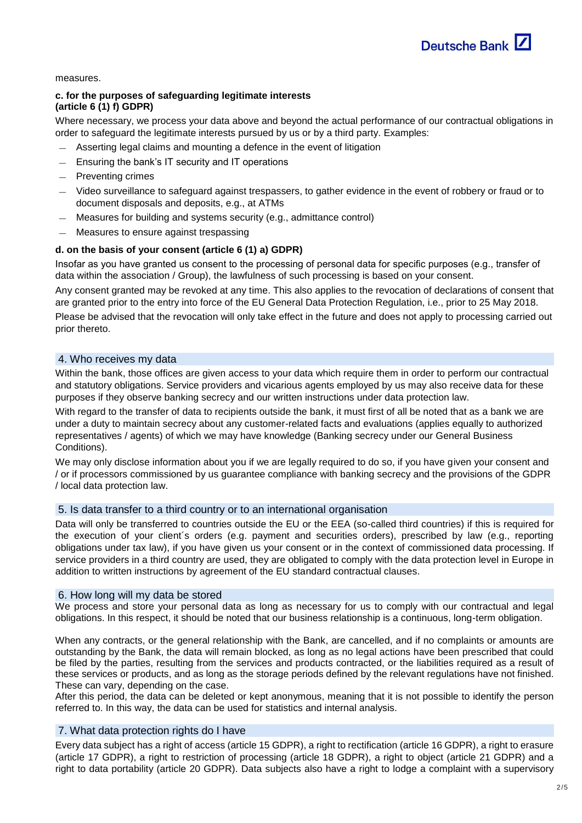

measures.

# **c. for the purposes of safeguarding legitimate interests (article 6 (1) f) GDPR)**

Where necessary, we process your data above and beyond the actual performance of our contractual obligations in order to safeguard the legitimate interests pursued by us or by a third party. Examples:

- Asserting legal claims and mounting a defence in the event of litigation
- Ensuring the bank's IT security and IT operations
- Preventing crimes
- Video surveillance to safeguard against trespassers, to gather evidence in the event of robbery or fraud or to document disposals and deposits, e.g., at ATMs
- Measures for building and systems security (e.g., admittance control)
- Measures to ensure against trespassing

## **d. on the basis of your consent (article 6 (1) a) GDPR)**

Insofar as you have granted us consent to the processing of personal data for specific purposes (e.g., transfer of data within the association / Group), the lawfulness of such processing is based on your consent.

Any consent granted may be revoked at any time. This also applies to the revocation of declarations of consent that are granted prior to the entry into force of the EU General Data Protection Regulation, i.e., prior to 25 May 2018.

Please be advised that the revocation will only take effect in the future and does not apply to processing carried out prior thereto.

## 4. Who receives my data

Within the bank, those offices are given access to your data which require them in order to perform our contractual and statutory obligations. Service providers and vicarious agents employed by us may also receive data for these purposes if they observe banking secrecy and our written instructions under data protection law.

With regard to the transfer of data to recipients outside the bank, it must first of all be noted that as a bank we are under a duty to maintain secrecy about any customer-related facts and evaluations (applies equally to authorized representatives / agents) of which we may have knowledge (Banking secrecy under our General Business Conditions).

We may only disclose information about you if we are legally required to do so, if you have given your consent and / or if processors commissioned by us guarantee compliance with banking secrecy and the provisions of the GDPR / local data protection law.

## 5. Is data transfer to a third country or to an international organisation

Data will only be transferred to countries outside the EU or the EEA (so-called third countries) if this is required for the execution of your client´s orders (e.g. payment and securities orders), prescribed by law (e.g., reporting obligations under tax law), if you have given us your consent or in the context of commissioned data processing. If service providers in a third country are used, they are obligated to comply with the data protection level in Europe in addition to written instructions by agreement of the EU standard contractual clauses.

## 6. How long will my data be stored

We process and store your personal data as long as necessary for us to comply with our contractual and legal obligations. In this respect, it should be noted that our business relationship is a continuous, long-term obligation.

When any contracts, or the general relationship with the Bank, are cancelled, and if no complaints or amounts are outstanding by the Bank, the data will remain blocked, as long as no legal actions have been prescribed that could be filed by the parties, resulting from the services and products contracted, or the liabilities required as a result of these services or products, and as long as the storage periods defined by the relevant regulations have not finished. These can vary, depending on the case.

After this period, the data can be deleted or kept anonymous, meaning that it is not possible to identify the person referred to. In this way, the data can be used for statistics and internal analysis.

## 7. What data protection rights do I have

Every data subject has a right of access (article 15 GDPR), a right to rectification (article 16 GDPR), a right to erasure (article 17 GDPR), a right to restriction of processing (article 18 GDPR), a right to object (article 21 GDPR) and a right to data portability (article 20 GDPR). Data subjects also have a right to lodge a complaint with a supervisory